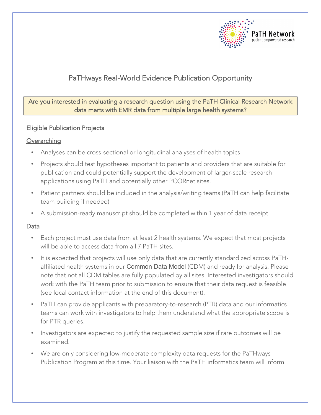

## PaTHways Real-World Evidence Publication Opportunity

Are you interested in evaluating a research question using the PaTH Clinical Research Network data marts with EMR data from multiple large health systems?

### Eligible Publication Projects

### **Overarching**

- Analyses can be cross-sectional or longitudinal analyses of health topics
- Projects should test hypotheses important to patients and providers that are suitable for publication and could potentially support the development of larger-scale research applications using PaTH and potentially other PCORnet sites.
- Patient partners should be included in the analysis/writing teams (PaTH can help facilitate team building if needed)
- A submission-ready manuscript should be completed within 1 year of data receipt.

### **Data**

- Each project must use data from at least 2 health systems. We expect that most projects will be able to access data from all 7 PaTH sites.
- It is expected that projects will use only data that are currently standardized across PaTHaffiliated health systems in our Common Data Model (CDM) and ready for analysis. Please note that not all CDM tables are fully populated by all sites. Interested investigators should work with the PaTH team prior to submission to ensure that their data request is feasible (see local contact information at the end of this document).
- PaTH can provide applicants with preparatory-to-research (PTR) data and our informatics teams can work with investigators to help them understand what the appropriate scope is for PTR queries.
- Investigators are expected to justify the requested sample size if rare outcomes will be examined.
- We are only considering low-moderate complexity data requests for the PaTHways Publication Program at this time. Your liaison with the PaTH informatics team will inform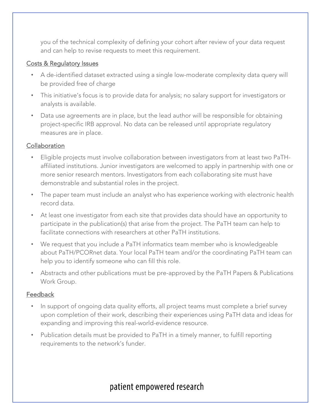you of the technical complexity of defining your cohort after review of your data request and can help to revise requests to meet this requirement.

### Costs & Regulatory Issues

- A de-identified dataset extracted using a single low-moderate complexity data query will be provided free of charge
- This initiative's focus is to provide data for analysis; no salary support for investigators or analysts is available.
- Data use agreements are in place, but the lead author will be responsible for obtaining project-specific IRB approval. No data can be released until appropriate regulatory measures are in place.

### Collaboration

- Eligible projects must involve collaboration between investigators from at least two PaTHaffiliated institutions. Junior investigators are welcomed to apply in partnership with one or more senior research mentors. Investigators from each collaborating site must have demonstrable and substantial roles in the project.
- The paper team must include an analyst who has experience working with electronic health record data.
- At least one investigator from each site that provides data should have an opportunity to participate in the publication(s) that arise from the project. The PaTH team can help to facilitate connections with researchers at other PaTH institutions.
- We request that you include a PaTH informatics team member who is knowledgeable about PaTH/PCORnet data. Your local PaTH team and/or the coordinating PaTH team can help you to identify someone who can fill this role.
- Abstracts and other publications must be pre-approved by the PaTH Papers & Publications Work Group.

### Feedback

- In support of ongoing data quality efforts, all project teams must complete a brief survey upon completion of their work, describing their experiences using PaTH data and ideas for expanding and improving this real-world-evidence resource.
- Publication details must be provided to PaTH in a timely manner, to fulfill reporting requirements to the network's funder.

## patient empowered research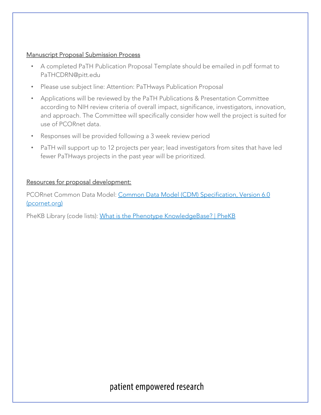#### Manuscript Proposal Submission Process

- A completed PaTH Publication Proposal Template should be emailed in pdf format to PaTHCDRN@pitt.edu
- Please use subject line: Attention: PaTHways Publication Proposal
- Applications will be reviewed by the PaTH Publications & Presentation Committee according to NIH review criteria of overall impact, significance, investigators, innovation, and approach. The Committee will specifically consider how well the project is suited for use of PCORnet data.
- Responses will be provided following a 3 week review period
- PaTH will support up to 12 projects per year; lead investigators from sites that have led fewer PaTHways projects in the past year will be prioritized.

### Resources for proposal development:

PCORnet Common Data Model: Common Data Model (CDM) Specification, Version 6.0 (pcornet.org)

PheKB Library (code lists): What is the Phenotype KnowledgeBase? | PheKB

## patient empowered research